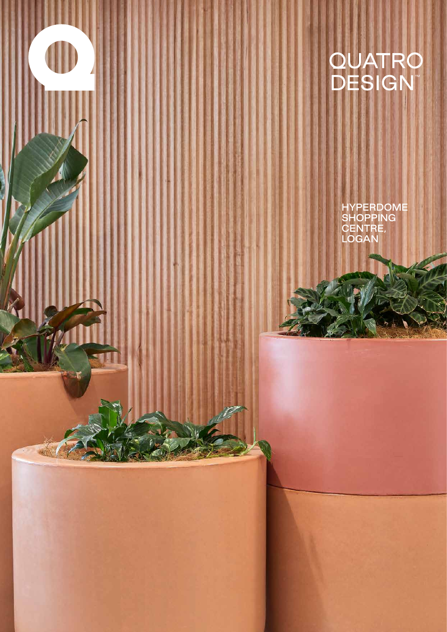

زیر با<br>ایران

HYPERDOME SHOPPING CENTRE, LOGAN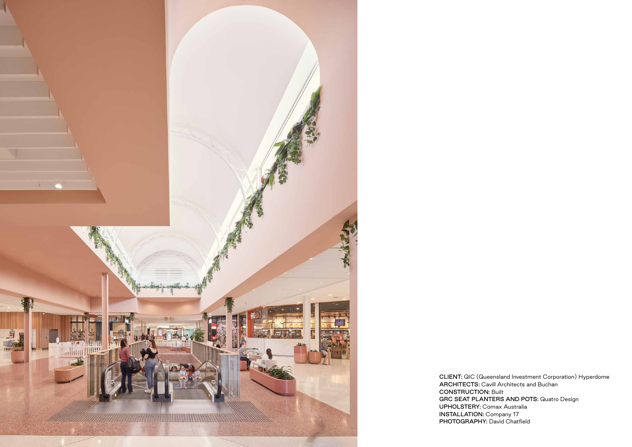

CLIENT: QIC (Queensland Investment Corporation) Hyperdome ARCHITECTS: Cavill Architects and Buchan CONSTRUCTION: Built GRC SEAT PLANTERS AND POTS: Quatro Design UPHOLSTERY: Comax Australia INSTALLATION: Company 17 PHOTOGRAPHY: David Chatfield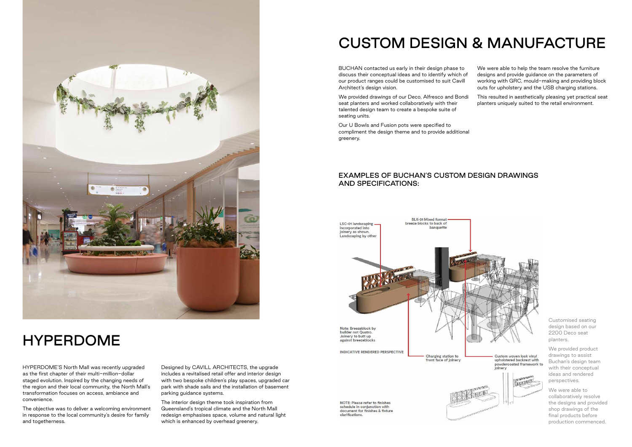

## HYPERDOME

# CUSTOM DESIGN & MANUFACTURE

HYPERDOME'S North Mall was recently upgraded as the first chapter of their multi-million-dollar staged evolution. Inspired by the changing needs of the region and their local community, the North Mall's transformation focuses on access, ambiance and convenience.

The objective was to deliver a welcoming environment in response to the local community's desire for family and togetherness.

Designed by CAVILL ARCHITECTS, the upgrade includes a revitalised retail offer and interior design with two bespoke children's play spaces, upgraded car park with shade sails and the installation of basement parking guidance systems.

The interior design theme took inspiration from Queensland's tropical climate and the North Mall redesign emphasises space, volume and natural light which is enhanced by overhead greenery.

We provided drawings of our Deco, Alfresco and Bondi seat planters and worked collaboratively with their talented design team to create a bespoke suite of seating units.

BUCHAN contacted us early in their design phase to discuss their conceptual ideas and to identify which of our product ranges could be customised to suit Cavill Architect's design vision. We were able to help the team resolve the furniture designs and provide guidance on the parameters of working with GRC, mould-making and providing block outs for upholstery and the USB charging stations.

Our U Bowls and Fusion pots were specified to compliment the design theme and to provide additional greenery.

This resulted in aesthetically pleasing yet practical seat planters uniquely suited to the retail environment.

powdercoated framework to

### EXAMPLES OF BUCHAN'S CUSTOM DESIGN DRAWINGS AND SPECIFICATIONS:



NOTE: Please refer to finishes schedule in conjunction with document for finishes & fixture clarifications



Customised seating design based on our 2200 Deco seat planters.

We provided product drawings to assist Buchan's design team with their conceptual ideas and rendered perspectives.

We were able to collaboratively resolve the designs and provided shop drawings of the final products before production commenced.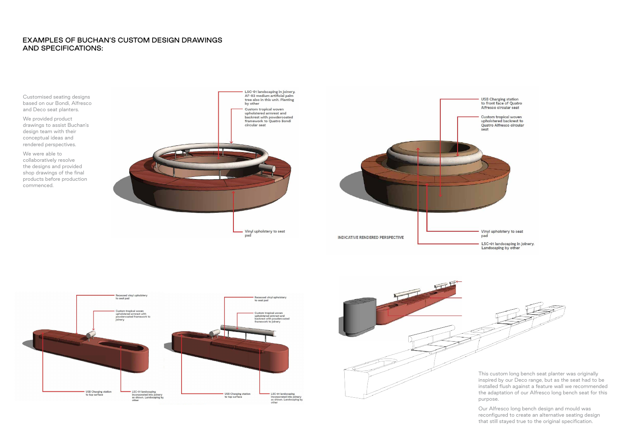#### EXAMPLES OF BUCHAN'S CUSTOM DESIGN DRAWINGS AND SPECIFICATIONS:

Customised seating designs based on our Bondi, Alfresco and Deco seat planters.

We provided product drawings to assist Buchan's design team with their conceptual ideas and rendered perspectives.

We were able to collaboratively resolve the designs and provided shop drawings of the final products before production commenced.









- USB Charging station<br>to front face of Quatro Alfresco circular seat
- Custom tropical woven upholstered backrest to Quatro Alfresco circular

- Vinyl upholstery to seat
- LSC-01 landscaping in joinery.<br>Landscaping by other

- This custom long bench seat planter was originally inspired by our Deco range, but as the seat had to be installed flush against a feature wall we recommended the adaptation of our Alfresco long bench seat for this purpose.
- Our Alfresco long bench design and mould was reconfigured to create an alternative seating design that still stayed true to the original specification.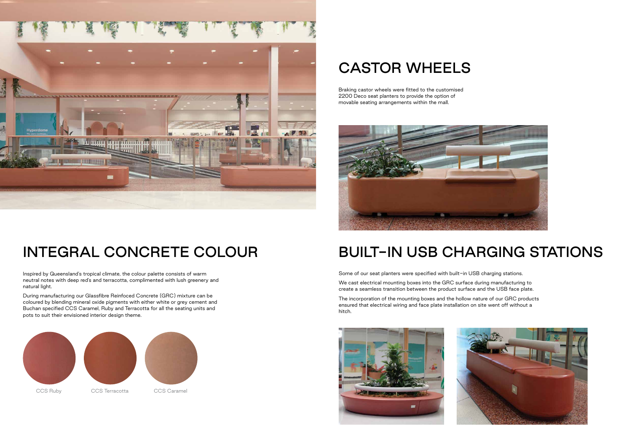# BUILT-IN USB CHARGING STATIONS

Some of our seat planters were specified with built-in USB charging stations.

We cast electrical mounting boxes into the GRC surface during manufacturing to create a seamless transition between the product surface and the USB face plate.

The incorporation of the mounting boxes and the hollow nature of our GRC products ensured that electrical wiring and face plate installation on site went off without a hitch.









# INTEGRAL CONCRETE COLOUR

# CASTOR WHEELS

Inspired by Queensland's tropical climate, the colour palette consists of warm neutral notes with deep red's and terracotta, complimented with lush greenery and natural light.

During manufacturing our Glassfibre Reinfoced Concrete (GRC) mixture can be coloured by blending mineral oxide pigments with either white or grey cement and Buchan specified CCS Caramel, Ruby and Terracotta for all the seating units and pots to suit their envisioned interior design theme.

Braking castor wheels were fitted to the customised 2200 Deco seat planters to provide the option of movable seating arrangements within the mall.



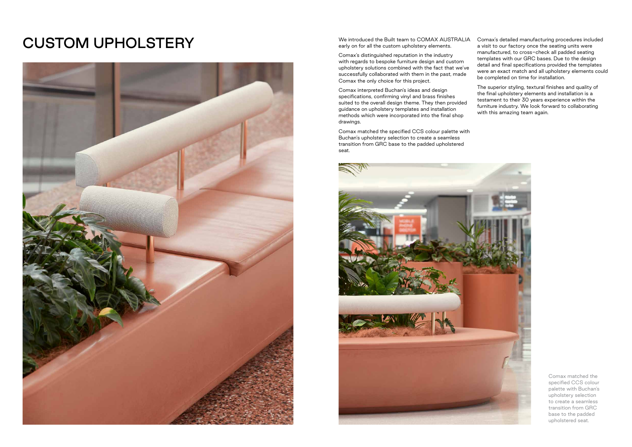with regards to bespoke furniture design and custom successfully collaborated with them in the past, made Comax the only choice for this project.

Comax interpreted Buchan's ideas and design specifications, confirming vinyl and brass finishes suited to the overall design theme. They then provided guidance on upholstery templates and installation methods which were incorporated into the final shop drawings.

We introduced the Built team to COMAX AUSTRALIA early on for all the custom upholstery elements. Comax's distinguished reputation in the industry upholstery solutions combined with the fact that we've Comax's detailed manufacturing procedures included a visit to our factory once the seating units were manufactured, to cross-check all padded seating templates with our GRC bases. Due to the design detail and final specifications provided the templates were an exact match and all upholstery elements could be completed on time for installation.

Comax matched the specified CCS colour palette with Buchan's upholstery selection to create a seamless transition from GRC base to the padded upholstered seat.



The superior styling, textural finishes and quality of the final upholstery elements and installation is a testament to their 30 years experience within the furniture industry. We look forward to collaborating with this amazing team again.

# CUSTOM UPHOLSTERY



Comax matched the specified CCS colour palette with Buchan's upholstery selection to create a seamless transition from GRC base to the padded upholstered seat.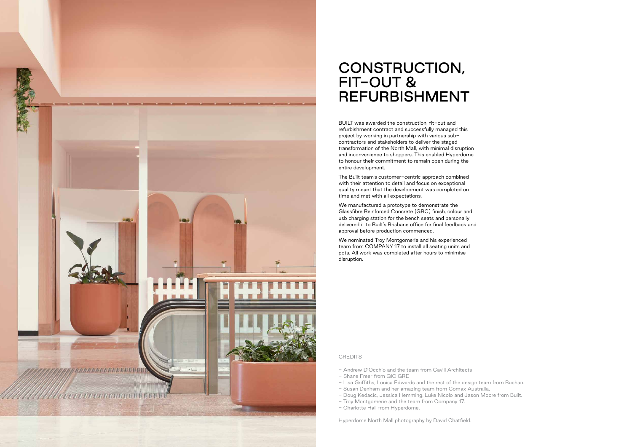- Andrew D'Occhio and the team from Cavill Architects
- Shane Freer from QIC GRE
- Lisa Griffiths, Louisa Edwards and the rest of the design team from Buchan.
- Susan Denham and her amazing team from Comax Australia.
- Doug Kedacic, Jessica Hemming, Luke Nicolo and Jason Moore from Built. - Troy Montgomerie and the team from Company 17.
- Charlotte Hall from Hyperdome.

Hyperdome North Mall photography by David Chatfield.



## CONSTRUCTION, FIT-OUT & REFURBISHMENT

BUILT was awarded the construction, fit-out and refurbishment contract and successfully managed this project by working in partnership with various subcontractors and stakeholders to deliver the staged transformation of the North Mall, with minimal disruption and inconvenience to shoppers. This enabled Hyperdome to honour their commitment to remain open during the entire development.

The Built team's customer-centric approach combined with their attention to detail and focus on exceptional quality meant that the development was completed on time and met with all expectations.

We manufactured a prototype to demonstrate the Glassfibre Reinforced Concrete (GRC) finish, colour and usb charging station for the bench seats and personally delivered it to Built's Brisbane office for final feedback and approval before production commenced.

We nominated Troy Montgomerie and his experienced team from COMPANY 17 to install all seating units and pots. All work was completed after hours to minimise disruption.

**CREDITS**